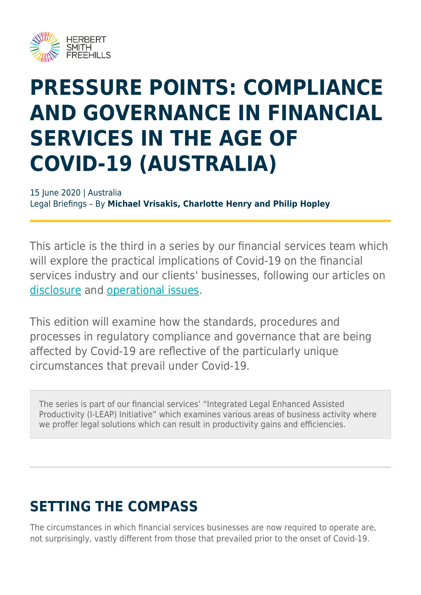

# **PRESSURE POINTS: COMPLIANCE AND GOVERNANCE IN FINANCIAL SERVICES IN THE AGE OF COVID-19 (AUSTRALIA)**

15 June 2020 | Australia Legal Briefings – By **Michael Vrisakis, Charlotte Henry and Philip Hopley**

This article is the third in a series by our financial services team which will explore the practical implications of Covid-19 on the financial services industry and our clients' businesses, following our articles on [disclosure](https://www.herbertsmithfreehills.com/latest-thinking/covid-19-pressure-points-financial-product-disclosure-in-the-age-of-covid-19) and [operational issues.](https://www.herbertsmithfreehills.com/latest-thinking/covid-19-pressure-points-operational-disruption-in-financial-services-in-the-age-of)

This edition will examine how the standards, procedures and processes in regulatory compliance and governance that are being affected by Covid-19 are reflective of the particularly unique circumstances that prevail under Covid-19.

The series is part of our financial services' "Integrated Legal Enhanced Assisted Productivity (I-LEAP) Initiative" which examines various areas of business activity where we proffer legal solutions which can result in productivity gains and efficiencies.

## **SETTING THE COMPASS**

The circumstances in which financial services businesses are now required to operate are, not surprisingly, vastly different from those that prevailed prior to the onset of Covid-19.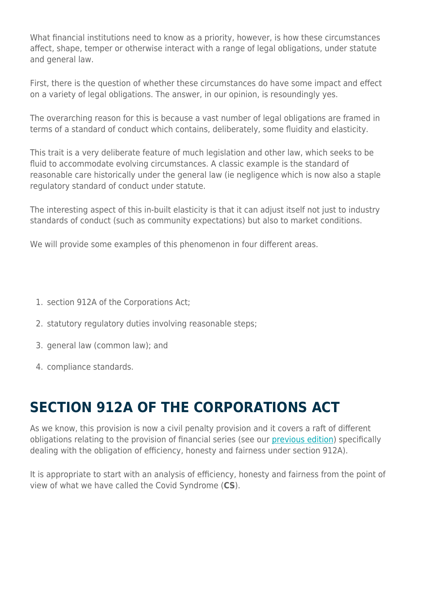What financial institutions need to know as a priority, however, is how these circumstances affect, shape, temper or otherwise interact with a range of legal obligations, under statute and general law.

First, there is the question of whether these circumstances do have some impact and effect on a variety of legal obligations. The answer, in our opinion, is resoundingly yes.

The overarching reason for this is because a vast number of legal obligations are framed in terms of a standard of conduct which contains, deliberately, some fluidity and elasticity.

This trait is a very deliberate feature of much legislation and other law, which seeks to be fluid to accommodate evolving circumstances. A classic example is the standard of reasonable care historically under the general law (ie negligence which is now also a staple regulatory standard of conduct under statute.

The interesting aspect of this in-built elasticity is that it can adjust itself not just to industry standards of conduct (such as community expectations) but also to market conditions.

We will provide some examples of this phenomenon in four different areas.

- 1. section 912A of the Corporations Act;
- 2. statutory regulatory duties involving reasonable steps;
- 3. general law (common law); and
- 4. compliance standards.

#### **SECTION 912A OF THE CORPORATIONS ACT**

As we know, this provision is now a civil penalty provision and it covers a raft of different obligations relating to the provision of financial series (see our [previous edition\)](https://hsfnotes.com/fsraustralia/2020/06/02/regulatory-rinkles-spotlight-on-efficiently-honestly-and-fairly/) specifically dealing with the obligation of efficiency, honesty and fairness under section 912A).

It is appropriate to start with an analysis of efficiency, honesty and fairness from the point of view of what we have called the Covid Syndrome (**CS**).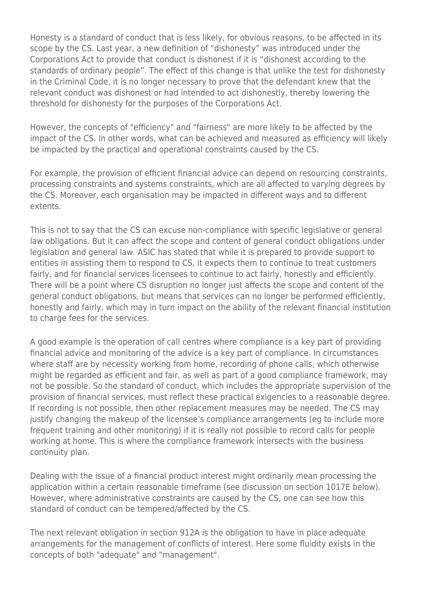Honesty is a standard of conduct that is less likely, for obvious reasons, to be affected in its scope by the CS. Last year, a new definition of "dishonesty" was introduced under the Corporations Act to provide that conduct is dishonest if it is "dishonest according to the standards of ordinary people". The effect of this change is that unlike the test for dishonesty in the Criminal Code, it is no longer necessary to prove that the defendant knew that the relevant conduct was dishonest or had intended to act dishonestly, thereby lowering the threshold for dishonesty for the purposes of the Corporations Act.

However, the concepts of "efficiency" and "fairness" are more likely to be affected by the impact of the CS. In other words, what can be achieved and measured as efficiency will likely be impacted by the practical and operational constraints caused by the CS.

For example, the provision of efficient financial advice can depend on resourcing constraints, processing constraints and systems constraints, which are all affected to varying degrees by the CS. Moreover, each organisation may be impacted in different ways and to different extents.

This is not to say that the CS can excuse non-compliance with specific legislative or general law obligations. But it can affect the scope and content of general conduct obligations under legislation and general law. ASIC has stated that while it is prepared to provide support to entities in assisting them to respond to CS, it expects them to continue to treat customers fairly, and for financial services licensees to continue to act fairly, honestly and efficiently. There will be a point where CS disruption no longer just affects the scope and content of the general conduct obligations, but means that services can no longer be performed efficiently, honestly and fairly, which may in turn impact on the ability of the relevant financial institution to charge fees for the services.

A good example is the operation of call centres where compliance is a key part of providing financial advice and monitoring of the advice is a key part of compliance. In circumstances where staff are by necessity working from home, recording of phone calls, which otherwise might be regarded as efficient and fair, as well as part of a good compliance framework, may not be possible. So the standard of conduct, which includes the appropriate supervision of the provision of financial services, must reflect these practical exigencies to a reasonable degree. If recording is not possible, then other replacement measures may be needed. The CS may justify changing the makeup of the licensee's compliance arrangements (eg to include more frequent training and other monitoring) if it is really not possible to record calls for people working at home. This is where the compliance framework intersects with the business continuity plan.

Dealing with the issue of a financial product interest might ordinarily mean processing the application within a certain reasonable timeframe (see discussion on section 1017E below). However, where administrative constraints are caused by the CS, one can see how this standard of conduct can be tempered/affected by the CS.

The next relevant obligation in section 912A is the obligation to have in place adequate arrangements for the management of conflicts of interest. Here some fluidity exists in the concepts of both "adequate" and "management".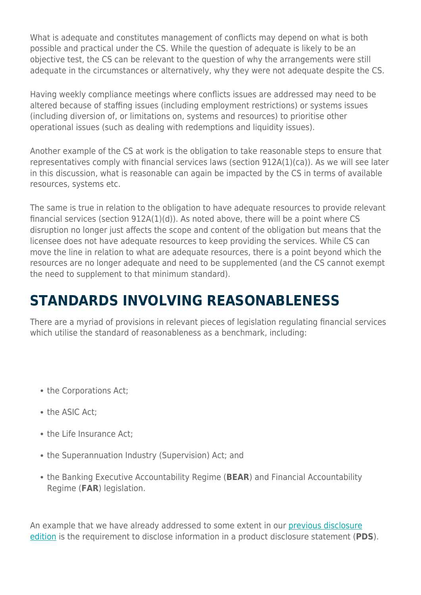What is adequate and constitutes management of conflicts may depend on what is both possible and practical under the CS. While the question of adequate is likely to be an objective test, the CS can be relevant to the question of why the arrangements were still adequate in the circumstances or alternatively, why they were not adequate despite the CS.

Having weekly compliance meetings where conflicts issues are addressed may need to be altered because of staffing issues (including employment restrictions) or systems issues (including diversion of, or limitations on, systems and resources) to prioritise other operational issues (such as dealing with redemptions and liquidity issues).

Another example of the CS at work is the obligation to take reasonable steps to ensure that representatives comply with financial services laws (section 912A(1)(ca)). As we will see later in this discussion, what is reasonable can again be impacted by the CS in terms of available resources, systems etc.

The same is true in relation to the obligation to have adequate resources to provide relevant financial services (section 912A(1)(d)). As noted above, there will be a point where CS disruption no longer just affects the scope and content of the obligation but means that the licensee does not have adequate resources to keep providing the services. While CS can move the line in relation to what are adequate resources, there is a point beyond which the resources are no longer adequate and need to be supplemented (and the CS cannot exempt the need to supplement to that minimum standard).

### **STANDARDS INVOLVING REASONABLENESS**

There are a myriad of provisions in relevant pieces of legislation regulating financial services which utilise the standard of reasonableness as a benchmark, including:

- the Corporations Act;
- the ASIC Act;
- the Life Insurance Act:
- the Superannuation Industry (Supervision) Act: and
- the Banking Executive Accountability Regime (**BEAR**) and Financial Accountability Regime (**FAR**) legislation.

An example that we have already addressed to some extent in our [previous disclosure](https://www.herbertsmithfreehills.com/latest-thinking/covid-19-pressure-points-financial-product-disclosure-in-the-age-of-covid-19) [edition](https://www.herbertsmithfreehills.com/latest-thinking/covid-19-pressure-points-financial-product-disclosure-in-the-age-of-covid-19) is the requirement to disclose information in a product disclosure statement (**PDS**).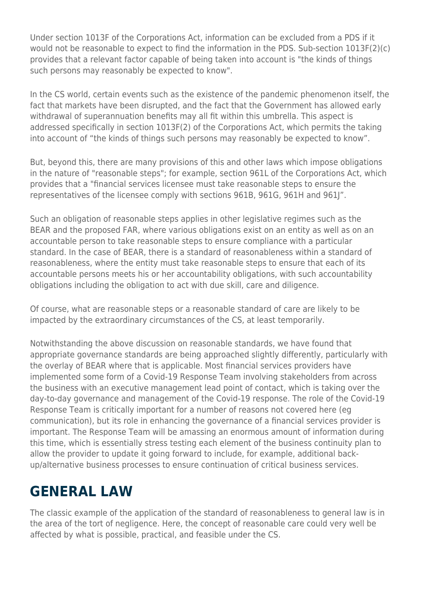Under section 1013F of the Corporations Act, information can be excluded from a PDS if it would not be reasonable to expect to find the information in the PDS. Sub-section 1013F(2)(c) provides that a relevant factor capable of being taken into account is "the kinds of things such persons may reasonably be expected to know".

In the CS world, certain events such as the existence of the pandemic phenomenon itself, the fact that markets have been disrupted, and the fact that the Government has allowed early withdrawal of superannuation benefits may all fit within this umbrella. This aspect is addressed specifically in section 1013F(2) of the Corporations Act, which permits the taking into account of "the kinds of things such persons may reasonably be expected to know".

But, beyond this, there are many provisions of this and other laws which impose obligations in the nature of "reasonable steps"; for example, section 961L of the Corporations Act, which provides that a "financial services licensee must take reasonable steps to ensure the representatives of the licensee comply with sections 961B, 961G, 961H and 961J".

Such an obligation of reasonable steps applies in other legislative regimes such as the BEAR and the proposed FAR, where various obligations exist on an entity as well as on an accountable person to take reasonable steps to ensure compliance with a particular standard. In the case of BEAR, there is a standard of reasonableness within a standard of reasonableness, where the entity must take reasonable steps to ensure that each of its accountable persons meets his or her accountability obligations, with such accountability obligations including the obligation to act with due skill, care and diligence.

Of course, what are reasonable steps or a reasonable standard of care are likely to be impacted by the extraordinary circumstances of the CS, at least temporarily.

Notwithstanding the above discussion on reasonable standards, we have found that appropriate governance standards are being approached slightly differently, particularly with the overlay of BEAR where that is applicable. Most financial services providers have implemented some form of a Covid-19 Response Team involving stakeholders from across the business with an executive management lead point of contact, which is taking over the day-to-day governance and management of the Covid-19 response. The role of the Covid-19 Response Team is critically important for a number of reasons not covered here (eg communication), but its role in enhancing the governance of a financial services provider is important. The Response Team will be amassing an enormous amount of information during this time, which is essentially stress testing each element of the business continuity plan to allow the provider to update it going forward to include, for example, additional backup/alternative business processes to ensure continuation of critical business services.

### **GENERAL LAW**

The classic example of the application of the standard of reasonableness to general law is in the area of the tort of negligence. Here, the concept of reasonable care could very well be affected by what is possible, practical, and feasible under the CS.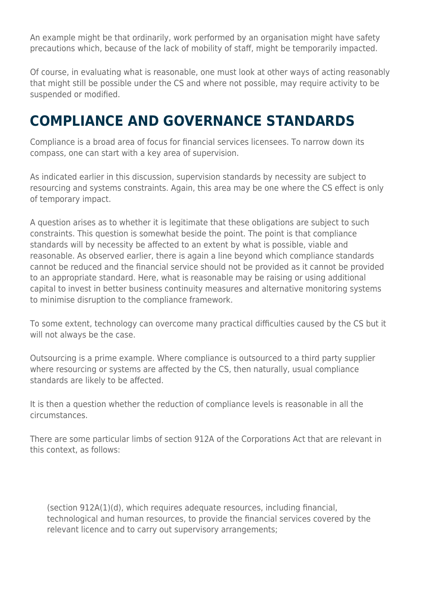An example might be that ordinarily, work performed by an organisation might have safety precautions which, because of the lack of mobility of staff, might be temporarily impacted.

Of course, in evaluating what is reasonable, one must look at other ways of acting reasonably that might still be possible under the CS and where not possible, may require activity to be suspended or modified.

#### **COMPLIANCE AND GOVERNANCE STANDARDS**

Compliance is a broad area of focus for financial services licensees. To narrow down its compass, one can start with a key area of supervision.

As indicated earlier in this discussion, supervision standards by necessity are subject to resourcing and systems constraints. Again, this area may be one where the CS effect is only of temporary impact.

A question arises as to whether it is legitimate that these obligations are subject to such constraints. This question is somewhat beside the point. The point is that compliance standards will by necessity be affected to an extent by what is possible, viable and reasonable. As observed earlier, there is again a line beyond which compliance standards cannot be reduced and the financial service should not be provided as it cannot be provided to an appropriate standard. Here, what is reasonable may be raising or using additional capital to invest in better business continuity measures and alternative monitoring systems to minimise disruption to the compliance framework.

To some extent, technology can overcome many practical difficulties caused by the CS but it will not always be the case.

Outsourcing is a prime example. Where compliance is outsourced to a third party supplier where resourcing or systems are affected by the CS, then naturally, usual compliance standards are likely to be affected.

It is then a question whether the reduction of compliance levels is reasonable in all the circumstances.

There are some particular limbs of section 912A of the Corporations Act that are relevant in this context, as follows:

(section 912A(1)(d), which requires adequate resources, including financial, technological and human resources, to provide the financial services covered by the relevant licence and to carry out supervisory arrangements;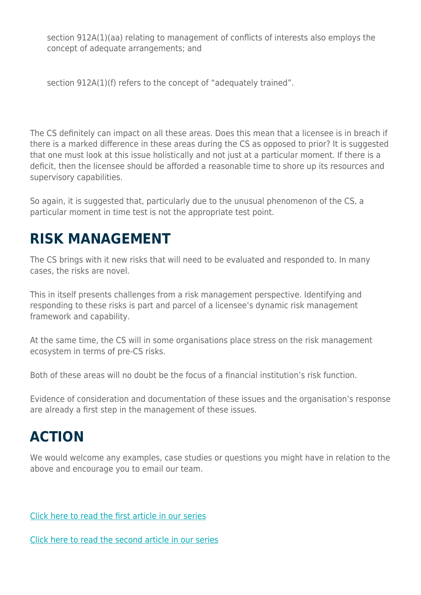section 912A(1)(aa) relating to management of conflicts of interests also employs the concept of adequate arrangements; and

section 912A(1)(f) refers to the concept of "adequately trained".

The CS definitely can impact on all these areas. Does this mean that a licensee is in breach if there is a marked difference in these areas during the CS as opposed to prior? It is suggested that one must look at this issue holistically and not just at a particular moment. If there is a deficit, then the licensee should be afforded a reasonable time to shore up its resources and supervisory capabilities.

So again, it is suggested that, particularly due to the unusual phenomenon of the CS, a particular moment in time test is not the appropriate test point.

#### **RISK MANAGEMENT**

The CS brings with it new risks that will need to be evaluated and responded to. In many cases, the risks are novel.

This in itself presents challenges from a risk management perspective. Identifying and responding to these risks is part and parcel of a licensee's dynamic risk management framework and capability.

At the same time, the CS will in some organisations place stress on the risk management ecosystem in terms of pre-CS risks.

Both of these areas will no doubt be the focus of a financial institution's risk function.

Evidence of consideration and documentation of these issues and the organisation's response are already a first step in the management of these issues.

## **ACTION**

We would welcome any examples, case studies or questions you might have in relation to the above and encourage you to email our team.

[Click here to read the first article in our series](https://www.herbertsmithfreehills.com/latest-thinking/covid-19-pressure-points-financial-product-disclosure-in-the-age-of-covid-19)

[Click here to read the second article in our series](https://www.herbertsmithfreehills.com/latest-thinking/covid-19-pressure-points-operational-disruption-in-financial-services-in-the-age-of)